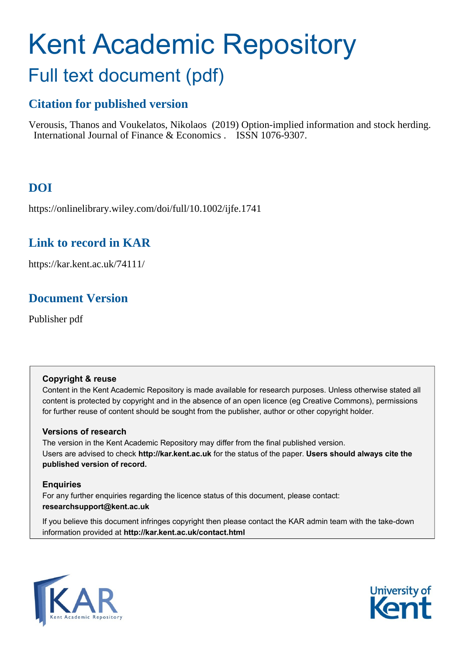# Kent Academic Repository Full text document (pdf)

# **Citation for published version**

Verousis, Thanos and Voukelatos, Nikolaos (2019) Option-implied information and stock herding. International Journal of Finance & Economics . ISSN 1076-9307.

# **DOI**

https://onlinelibrary.wiley.com/doi/full/10.1002/ijfe.1741

# **Link to record in KAR**

https://kar.kent.ac.uk/74111/

# **Document Version**

Publisher pdf

### **Copyright & reuse**

Content in the Kent Academic Repository is made available for research purposes. Unless otherwise stated all content is protected by copyright and in the absence of an open licence (eg Creative Commons), permissions for further reuse of content should be sought from the publisher, author or other copyright holder.

### **Versions of research**

The version in the Kent Academic Repository may differ from the final published version. Users are advised to check **http://kar.kent.ac.uk** for the status of the paper. **Users should always cite the published version of record.**

### **Enquiries**

For any further enquiries regarding the licence status of this document, please contact: **researchsupport@kent.ac.uk**

If you believe this document infringes copyright then please contact the KAR admin team with the take-down information provided at **http://kar.kent.ac.uk/contact.html**



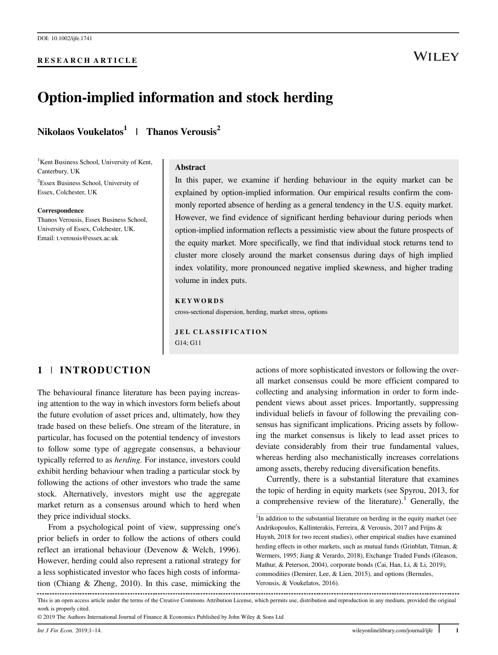#### **RESEARCH ARTICLE**

## **WILEY**

# **Option-implied information and stock herding**

**Nikolaos Voukelatos<sup>1</sup> | Thanos Verousis<sup>2</sup>**

<sup>1</sup>Kent Business School, University of Kent, Canterbury, UK

2 Essex Business School, University of Essex, Colchester, UK

**Correspondence**

Thanos Verousis, Essex Business School, University of Essex, Colchester, UK. Email: [t.verousis@essex.ac.uk](mailto:t.verousis@essex.ac.uk)

#### **Abstract**

In this paper, we examine if herding behaviour in the equity market can be explained by option-implied information. Our empirical results confirm the commonly reported absence of herding as a general tendency in the U.S. equity market. However, we find evidence of significant herding behaviour during periods when option-implied information reflects a pessimistic view about the future prospects of the equity market. More specifically, we find that individual stock returns tend to cluster more closely around the market consensus during days of high implied index volatility, more pronounced negative implied skewness, and higher trading volume in index puts.

#### **KEYWORDS**

cross-sectional dispersion, herding, market stress, options

**JEL CLASSIFICATION** G14; G11

### **1** | **INTRODUCTION**

The behavioural finance literature has been paying increasing attention to the way in which investors form beliefs about the future evolution of asset prices and, ultimately, how they trade based on these beliefs. One stream of the literature, in particular, has focused on the potential tendency of investors to follow some type of aggregate consensus, a behaviour typically referred to as *herding.* For instance, investors could exhibit herding behaviour when trading a particular stock by following the actions of other investors who trade the same stock. Alternatively, investors might use the aggregate market return as a consensus around which to herd when they price individual stocks.

From a psychological point of view, suppressing one's prior beliefs in order to follow the actions of others could reflect an irrational behaviour (Devenow & Welch, 1996). However, herding could also represent a rational strategy for a less sophisticated investor who faces high costs of information (Chiang & Zheng, 2010). In this case, mimicking the

actions of more sophisticated investors or following the overall market consensus could be more efficient compared to collecting and analysing information in order to form independent views about asset prices. Importantly, suppressing individual beliefs in favour of following the prevailing consensus has significant implications. Pricing assets by following the market consensus is likely to lead asset prices to deviate considerably from their true fundamental values, whereas herding also mechanistically increases correlations among assets, thereby reducing diversification benefits.

Currently, there is a substantial literature that examines the topic of herding in equity markets (see Spyrou, 2013, for a comprehensive review of the literature).<sup>1</sup> Generally, the

<sup>&</sup>lt;sup>1</sup>In addition to the substantial literature on herding in the equity market (see Andrikopoulos, Kallinterakis, Ferreira, & Verousis, 2017 and Frijns & Huynh, 2018 for two recent studies), other empirical studies have examined herding effects in other markets, such as mutual funds (Grinblatt, Titman, & Wermers, 1995; Jiang & Verardo, 2018), Exchange Traded Funds (Gleason, Mathur, & Peterson, 2004), corporate bonds (Cai, Han, Li, & Li, 2019), commodities (Demirer, Lee, & Lien, 2015), and options (Bernales, Verousis, & Voukelatos, 2016).

This is an open access article under the terms of the [Creative Commons Attribution](http://creativecommons.org/licenses/by/4.0/) License, which permits use, distribution and reproduction in any medium, provided the original work is properly cited.

<sup>© 2019</sup> The Authors International Journal of Finance & Economics Published by John Wiley & Sons Ltd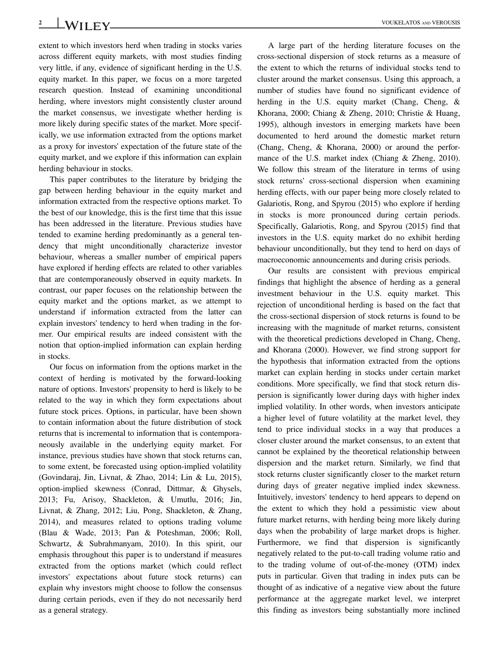extent to which investors herd when trading in stocks varies across different equity markets, with most studies finding very little, if any, evidence of significant herding in the U.S. equity market. In this paper, we focus on a more targeted research question. Instead of examining unconditional herding, where investors might consistently cluster around the market consensus, we investigate whether herding is more likely during specific states of the market. More specifically, we use information extracted from the options market as a proxy for investors' expectation of the future state of the equity market, and we explore if this information can explain herding behaviour in stocks.

This paper contributes to the literature by bridging the gap between herding behaviour in the equity market and information extracted from the respective options market. To the best of our knowledge, this is the first time that this issue has been addressed in the literature. Previous studies have tended to examine herding predominantly as a general tendency that might unconditionally characterize investor behaviour, whereas a smaller number of empirical papers have explored if herding effects are related to other variables that are contemporaneously observed in equity markets. In contrast, our paper focuses on the relationship between the equity market and the options market, as we attempt to understand if information extracted from the latter can explain investors' tendency to herd when trading in the former. Our empirical results are indeed consistent with the notion that option-implied information can explain herding in stocks.

Our focus on information from the options market in the context of herding is motivated by the forward-looking nature of options. Investors' propensity to herd is likely to be related to the way in which they form expectations about future stock prices. Options, in particular, have been shown to contain information about the future distribution of stock returns that is incremental to information that is contemporaneously available in the underlying equity market. For instance, previous studies have shown that stock returns can, to some extent, be forecasted using option-implied volatility (Govindaraj, Jin, Livnat, & Zhao, 2014; Lin & Lu, 2015), option-implied skewness (Conrad, Dittmar, & Ghysels, 2013; Fu, Arisoy, Shackleton, & Umutlu, 2016; Jin, Livnat, & Zhang, 2012; Liu, Pong, Shackleton, & Zhang, 2014), and measures related to options trading volume (Blau & Wade, 2013; Pan & Poteshman, 2006; Roll, Schwartz, & Subrahmanyam, 2010). In this spirit, our emphasis throughout this paper is to understand if measures extracted from the options market (which could reflect investors' expectations about future stock returns) can explain why investors might choose to follow the consensus during certain periods, even if they do not necessarily herd as a general strategy.

A large part of the herding literature focuses on the cross-sectional dispersion of stock returns as a measure of the extent to which the returns of individual stocks tend to cluster around the market consensus. Using this approach, a number of studies have found no significant evidence of herding in the U.S. equity market (Chang, Cheng, & Khorana, 2000; Chiang & Zheng, 2010; Christie & Huang, 1995), although investors in emerging markets have been documented to herd around the domestic market return (Chang, Cheng, & Khorana, 2000) or around the performance of the U.S. market index (Chiang & Zheng, 2010). We follow this stream of the literature in terms of using stock returns' cross-sectional dispersion when examining herding effects, with our paper being more closely related to Galariotis, Rong, and Spyrou (2015) who explore if herding in stocks is more pronounced during certain periods. Specifically, Galariotis, Rong, and Spyrou (2015) find that investors in the U.S. equity market do no exhibit herding behaviour unconditionally, but they tend to herd on days of macroeconomic announcements and during crisis periods.

Our results are consistent with previous empirical findings that highlight the absence of herding as a general investment behaviour in the U.S. equity market. This rejection of unconditional herding is based on the fact that the cross-sectional dispersion of stock returns is found to be increasing with the magnitude of market returns, consistent with the theoretical predictions developed in Chang, Cheng, and Khorana (2000). However, we find strong support for the hypothesis that information extracted from the options market can explain herding in stocks under certain market conditions. More specifically, we find that stock return dispersion is significantly lower during days with higher index implied volatility. In other words, when investors anticipate a higher level of future volatility at the market level, they tend to price individual stocks in a way that produces a closer cluster around the market consensus, to an extent that cannot be explained by the theoretical relationship between dispersion and the market return. Similarly, we find that stock returns cluster significantly closer to the market return during days of greater negative implied index skewness. Intuitively, investors' tendency to herd appears to depend on the extent to which they hold a pessimistic view about future market returns, with herding being more likely during days when the probability of large market drops is higher. Furthermore, we find that dispersion is significantly negatively related to the put-to-call trading volume ratio and to the trading volume of out-of-the-money (OTM) index puts in particular. Given that trading in index puts can be thought of as indicative of a negative view about the future performance at the aggregate market level, we interpret this finding as investors being substantially more inclined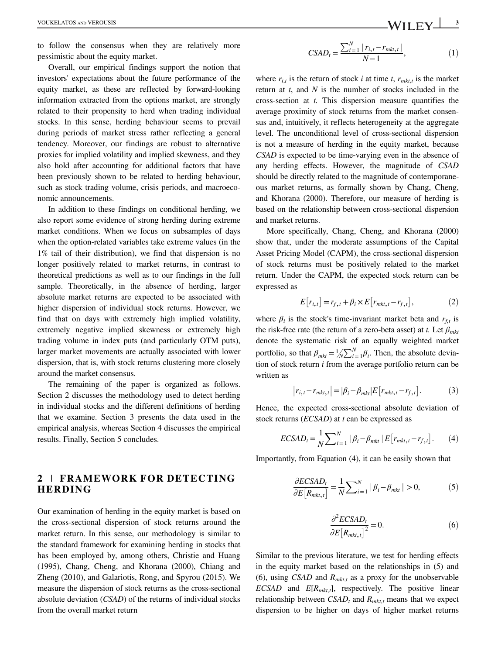to follow the consensus when they are relatively more pessimistic about the equity market.

Overall, our empirical findings support the notion that investors' expectations about the future performance of the equity market, as these are reflected by forward-looking information extracted from the options market, are strongly related to their propensity to herd when trading individual stocks. In this sense, herding behaviour seems to prevail during periods of market stress rather reflecting a general tendency. Moreover, our findings are robust to alternative proxies for implied volatility and implied skewness, and they also hold after accounting for additional factors that have been previously shown to be related to herding behaviour, such as stock trading volume, crisis periods, and macroeconomic announcements.

In addition to these findings on conditional herding, we also report some evidence of strong herding during extreme market conditions. When we focus on subsamples of days when the option-related variables take extreme values (in the 1% tail of their distribution), we find that dispersion is no longer positively related to market returns, in contrast to theoretical predictions as well as to our findings in the full sample. Theoretically, in the absence of herding, larger absolute market returns are expected to be associated with higher dispersion of individual stock returns. However, we find that on days with extremely high implied volatility, extremely negative implied skewness or extremely high trading volume in index puts (and particularly OTM puts), larger market movements are actually associated with lower dispersion, that is, with stock returns clustering more closely around the market consensus.

The remaining of the paper is organized as follows. Section 2 discusses the methodology used to detect herding in individual stocks and the different definitions of herding that we examine. Section 3 presents the data used in the empirical analysis, whereas Section 4 discusses the empirical results. Finally, Section 5 concludes.

### **2** | **FRAMEWORK FOR DETECTING HERDING**

Our examination of herding in the equity market is based on the cross-sectional dispersion of stock returns around the market return. In this sense, our methodology is similar to the standard framework for examining herding in stocks that has been employed by, among others, Christie and Huang (1995), Chang, Cheng, and Khorana (2000), Chiang and Zheng (2010), and Galariotis, Rong, and Spyrou (2015). We measure the dispersion of stock returns as the cross-sectional absolute deviation (*CSAD*) of the returns of individual stocks from the overall market return

$$
CSAD_t = \frac{\sum_{i=1}^{N} |r_{i,t} - r_{mkt,t}|}{N - 1},
$$
\n(1)

where  $r_{i,t}$  is the return of stock *i* at time *t*,  $r_{mkt,t}$  is the market return at *t*, and *N* is the number of stocks included in the cross-section at *t.* This dispersion measure quantifies the average proximity of stock returns from the market consensus and, intuitively, it reflects heterogeneity at the aggregate level. The unconditional level of cross-sectional dispersion is not a measure of herding in the equity market, because *CSAD* is expected to be time-varying even in the absence of any herding effects. However, the magnitude of *CSAD* should be directly related to the magnitude of contemporaneous market returns, as formally shown by Chang, Cheng, and Khorana (2000). Therefore, our measure of herding is based on the relationship between cross-sectional dispersion and market returns.

More specifically, Chang, Cheng, and Khorana (2000) show that, under the moderate assumptions of the Capital Asset Pricing Model (CAPM), the cross-sectional dispersion of stock returns must be positively related to the market return. Under the CAPM, the expected stock return can be expressed as

$$
E[r_{i,t}] = r_{f,t} + \beta_i \times E[r_{mkt,t} - r_{f,t}], \qquad (2)
$$

where  $\beta_i$  is the stock's time-invariant market beta and  $r_{f,t}$  is the risk-free rate (the return of a zero-beta asset) at *t*. Let  $\beta_{mkt}$ denote the systematic risk of an equally weighted market portfolio, so that  $\beta_{mkt} = \frac{1}{N} \sum_{i=1}^{N} \beta_i$ . Then, the absolute deviation of stock return *i* from the average portfolio return can be written as

$$
\left|r_{i,t} - r_{mkt,t}\right| = \left|\beta_i - \beta_{mkt}\right| E\left[r_{mkt,t} - r_{f,t}\right].\tag{3}
$$

Hence, the expected cross-sectional absolute deviation of stock returns (*ECSAD*) at *t* can be expressed as

$$
ECSAD_t = \frac{1}{N} \sum_{i=1}^{N} |\beta_i - \beta_{mkt}| E[r_{mkt, t} - r_{f, t}].
$$
 (4)

Importantly, from Equation (4), it can be easily shown that

$$
\frac{\partial ECSAD_t}{\partial E[R_{mkt,t}]} = \frac{1}{N} \sum_{i=1}^{N} |\beta_i - \beta_{mkt}| > 0,
$$
 (5)

$$
\frac{\partial^2 ECSAD_t}{\partial E\left[R_{mkt,t}\right]^2} = 0.
$$
\n(6)

Similar to the previous literature, we test for herding effects in the equity market based on the relationships in (5) and (6), using *CSAD* and *Rmkt*,*<sup>t</sup>* as a proxy for the unobservable *ECSAD* and  $E[R_{mkt,t}]$ , respectively. The positive linear relationship between  $CSAD_t$  and  $R_{mkt,t}$  means that we expect dispersion to be higher on days of higher market returns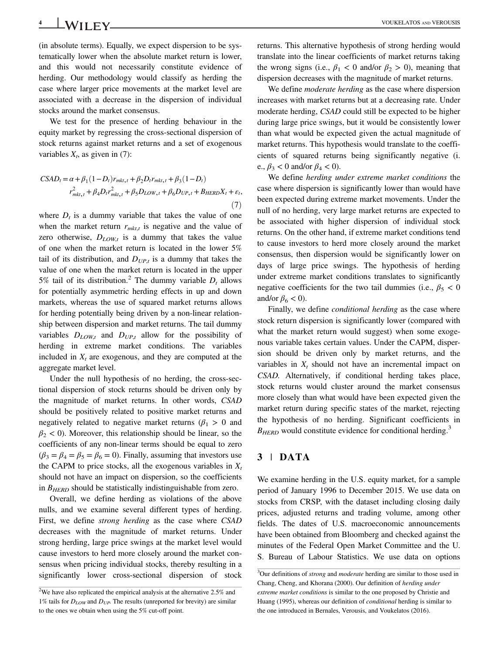# **4** VOUKELATOS AND VEROUSIS

(in absolute terms). Equally, we expect dispersion to be systematically lower when the absolute market return is lower, and this would not necessarily constitute evidence of herding. Our methodology would classify as herding the case where larger price movements at the market level are associated with a decrease in the dispersion of individual stocks around the market consensus.

We test for the presence of herding behaviour in the equity market by regressing the cross-sectional dispersion of stock returns against market returns and a set of exogenous variables  $X_t$ , as given in (7):

$$
CSAD_{t} = \alpha + \beta_{1}(1 - D_{t})r_{mkt,t} + \beta_{2}D_{t}r_{mkt,t} + \beta_{3}(1 - D_{t})
$$
  

$$
r_{mkt,t}^{2} + \beta_{4}D_{t}r_{mkt,t}^{2} + \beta_{5}D_{LOW,t} + \beta_{6}D_{UP,t} + B_{HERD}X_{t} + \varepsilon_{t},
$$
  
(7)

where  $D_t$  is a dummy variable that takes the value of one when the market return  $r_{mkt,t}$  is negative and the value of zero otherwise,  $D_{LOWt}$  is a dummy that takes the value of one when the market return is located in the lower 5% tail of its distribution, and  $D_{UP,t}$  is a dummy that takes the value of one when the market return is located in the upper 5% tail of its distribution.<sup>2</sup> The dummy variable  $D_t$  allows for potentially asymmetric herding effects in up and down markets, whereas the use of squared market returns allows for herding potentially being driven by a non-linear relationship between dispersion and market returns. The tail dummy variables  $D_{LOW,t}$  and  $D_{UP,t}$  allow for the possibility of herding in extreme market conditions. The variables included in  $X_t$  are exogenous, and they are computed at the aggregate market level.

Under the null hypothesis of no herding, the cross-sectional dispersion of stock returns should be driven only by the magnitude of market returns. In other words, *CSAD* should be positively related to positive market returns and negatively related to negative market returns ( $\beta_1 > 0$  and  $\beta_2$  < 0). Moreover, this relationship should be linear, so the coefficients of any non-linear terms should be equal to zero  $(\beta_3 = \beta_4 = \beta_5 = \beta_6 = 0)$ . Finally, assuming that investors use the CAPM to price stocks, all the exogenous variables in  $X_t$ should not have an impact on dispersion, so the coefficients in *ΒHERD* should be statistically indistinguishable from zero.

Overall, we define herding as violations of the above nulls, and we examine several different types of herding. First, we define *strong herding* as the case where *CSAD* decreases with the magnitude of market returns. Under strong herding, large price swings at the market level would cause investors to herd more closely around the market consensus when pricing individual stocks, thereby resulting in a significantly lower cross-sectional dispersion of stock returns. This alternative hypothesis of strong herding would translate into the linear coefficients of market returns taking the wrong signs (i.e.,  $\beta_1$  < 0 and/or  $\beta_2$  > 0), meaning that dispersion decreases with the magnitude of market returns.

We define *moderate herding* as the case where dispersion increases with market returns but at a decreasing rate. Under moderate herding, *CSAD* could still be expected to be higher during large price swings, but it would be consistently lower than what would be expected given the actual magnitude of market returns. This hypothesis would translate to the coefficients of squared returns being significantly negative (i. e.,  $\beta_3$  < 0 and/or  $\beta_4$  < 0).

We define *herding under extreme market conditions* the case where dispersion is significantly lower than would have been expected during extreme market movements. Under the null of no herding, very large market returns are expected to be associated with higher dispersion of individual stock returns. On the other hand, if extreme market conditions tend to cause investors to herd more closely around the market consensus, then dispersion would be significantly lower on days of large price swings. The hypothesis of herding under extreme market conditions translates to significantly negative coefficients for the two tail dummies (i.e.,  $\beta_5 < 0$ and/or  $\beta_6 < 0$ ).

Finally, we define *conditional herding* as the case where stock return dispersion is significantly lower (compared with what the market return would suggest) when some exogenous variable takes certain values. Under the CAPM, dispersion should be driven only by market returns, and the variables in  $X_t$  should not have an incremental impact on *CSAD.* Alternatively, if conditional herding takes place, stock returns would cluster around the market consensus more closely than what would have been expected given the market return during specific states of the market, rejecting the hypothesis of no herding. Significant coefficients in *B<sub>HERD</sub>* would constitute evidence for conditional herding.<sup>3</sup>

### **3** | **DATA**

We examine herding in the U.S. equity market, for a sample period of January 1996 to December 2015. We use data on stocks from CRSP, with the dataset including closing daily prices, adjusted returns and trading volume, among other fields. The dates of U.S. macroeconomic announcements have been obtained from Bloomberg and checked against the minutes of the Federal Open Market Committee and the U. S. Bureau of Labour Statistics. We use data on options

<sup>&</sup>lt;sup>2</sup>We have also replicated the empirical analysis at the alternative  $2.5\%$  and 1% tails for  $D_{LOW}$  and  $D_{UP}$ . The results (unreported for brevity) are similar to the ones we obtain when using the 5% cut-off point.

<sup>3</sup> Our definitions of *strong* and *moderate* herding are similar to those used in Chang, Cheng, and Khorana (2000). Our definition of *herding under extreme market conditions* is similar to the one proposed by Christie and Huang (1995), whereas our definition of *conditional* herding is similar to the one introduced in Bernales, Verousis, and Voukelatos (2016).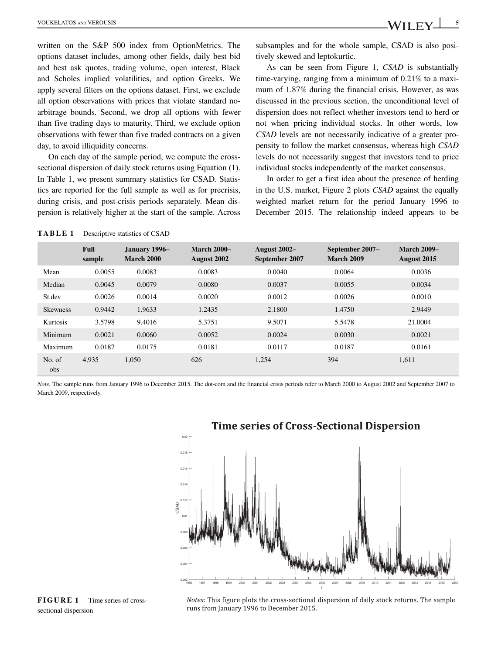written on the S&P 500 index from OptionMetrics. The options dataset includes, among other fields, daily best bid and best ask quotes, trading volume, open interest, Black and Scholes implied volatilities, and option Greeks. We apply several filters on the options dataset. First, we exclude all option observations with prices that violate standard noarbitrage bounds. Second, we drop all options with fewer than five trading days to maturity. Third, we exclude option observations with fewer than five traded contracts on a given day, to avoid illiquidity concerns.

On each day of the sample period, we compute the crosssectional dispersion of daily stock returns using Equation (1). In Table 1, we present summary statistics for CSAD. Statistics are reported for the full sample as well as for precrisis, during crisis, and post-crisis periods separately. Mean dispersion is relatively higher at the start of the sample. Across subsamples and for the whole sample, CSAD is also positively skewed and leptokurtic.

As can be seen from Figure 1, *CSAD* is substantially time-varying, ranging from a minimum of 0.21% to a maximum of 1.87% during the financial crisis. However, as was discussed in the previous section, the unconditional level of dispersion does not reflect whether investors tend to herd or not when pricing individual stocks. In other words, low *CSAD* levels are not necessarily indicative of a greater propensity to follow the market consensus, whereas high *CSAD* levels do not necessarily suggest that investors tend to price individual stocks independently of the market consensus.

In order to get a first idea about the presence of herding in the U.S. market, Figure 2 plots *CSAD* against the equally weighted market return for the period January 1996 to December 2015. The relationship indeed appears to be

#### **TABLE 1** Descriptive statistics of CSAD

|                 | <b>Full</b><br>sample | January 1996–<br>March 2000 | <b>March 2000-</b><br><b>August</b> 2002 | <b>August 2002–</b><br>September 2007 | September 2007-<br><b>March 2009</b> | <b>March 2009–</b><br>August 2015 |
|-----------------|-----------------------|-----------------------------|------------------------------------------|---------------------------------------|--------------------------------------|-----------------------------------|
| Mean            | 0.0055                | 0.0083                      | 0.0083                                   | 0.0040                                | 0.0064                               | 0.0036                            |
| Median          | 0.0045                | 0.0079                      | 0.0080                                   | 0.0037                                | 0.0055                               | 0.0034                            |
| St.dev          | 0.0026                | 0.0014                      | 0.0020                                   | 0.0012                                | 0.0026                               | 0.0010                            |
| <b>Skewness</b> | 0.9442                | 1.9633                      | 1.2435                                   | 2.1800                                | 1.4750                               | 2.9449                            |
| Kurtosis        | 3.5798                | 9.4016                      | 5.3751                                   | 9.5071                                | 5.5478                               | 21,0004                           |
| Minimum         | 0.0021                | 0.0060                      | 0.0052                                   | 0.0024                                | 0.0030                               | 0.0021                            |
| Maximum         | 0.0187                | 0.0175                      | 0.0181                                   | 0.0117                                | 0.0187                               | 0.0161                            |
| No. of<br>obs   | 4,935                 | 1,050                       | 626                                      | 1,254                                 | 394                                  | 1,611                             |

*Note.* The sample runs from January 1996 to December 2015. The dot-com and the financial crisis periods refer to March 2000 to August 2002 and September 2007 to March 2009, respectively.





Notes: This figure plots the cross-sectional dispersion of daily stock returns. The sample runs from January 1996 to December 2015.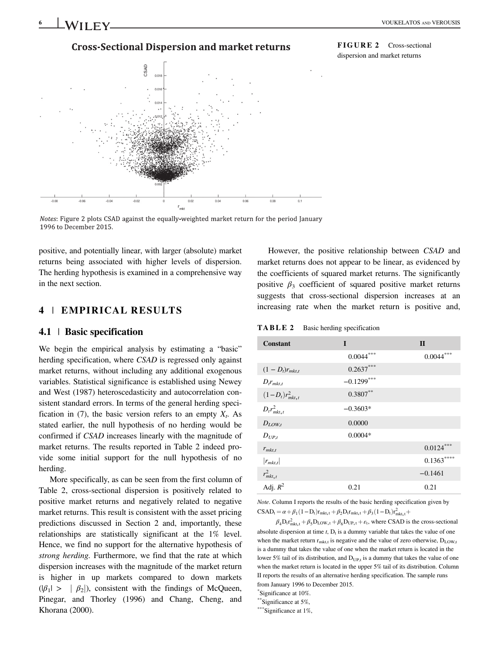**Cross-Sectional Dispersion and market returns** 



**FIGURE 2** Cross-sectional dispersion and market returns



positive, and potentially linear, with larger (absolute) market returns being associated with higher levels of dispersion. The herding hypothesis is examined in a comprehensive way in the next section.

### **4** | **EMPIRICAL RESULTS**

#### **4.1** | **Basic specification**

We begin the empirical analysis by estimating a "basic" herding specification, where *CSAD* is regressed only against market returns, without including any additional exogenous variables. Statistical significance is established using Newey and West (1987) heteroscedasticity and autocorrelation consistent standard errors. In terms of the general herding specification in (7), the basic version refers to an empty  $X_t$ . As stated earlier, the null hypothesis of no herding would be confirmed if *CSAD* increases linearly with the magnitude of market returns. The results reported in Table 2 indeed provide some initial support for the null hypothesis of no herding.

More specifically, as can be seen from the first column of Table 2, cross-sectional dispersion is positively related to positive market returns and negatively related to negative market returns. This result is consistent with the asset pricing predictions discussed in Section 2 and, importantly, these relationships are statistically significant at the 1% level. Hence, we find no support for the alternative hypothesis of *strong herding.* Furthermore, we find that the rate at which dispersion increases with the magnitude of the market return is higher in up markets compared to down markets  $(|\beta_1| > |\beta_2|)$ , consistent with the findings of McQueen, Pinegar, and Thorley (1996) and Chang, Cheng, and Khorana (2000).

However, the positive relationship between *CSAD* and market returns does not appear to be linear, as evidenced by the coefficients of squared market returns. The significantly positive  $\beta_3$  coefficient of squared positive market returns suggests that cross-sectional dispersion increases at an increasing rate when the market return is positive and,

#### **TABLE 2** Basic herding specification

| <b>Constant</b>       | I            | $\mathbf{I}$ |
|-----------------------|--------------|--------------|
|                       | $0.0044***$  | $0.0044***$  |
| $(1-D_t)r_{mkt,t}$    | $0.2637***$  |              |
| $D_t r_{mkt,t}$       | $-0.1299***$ |              |
| $(1-D_t)r_{mkt, t}^2$ | $0.3807**$   |              |
| $D_t r_{mkt, t}^2$    | $-0.3603*$   |              |
| $D_{LOW,t}$           | 0.0000       |              |
| $D_{UP,t}$            | $0.0004*$    |              |
| $r_{mkt,t}$           |              | $0.0124***$  |
| $ r_{mkt,t} $         |              | $0.1363***$  |
| $r_{mkt, t}^2$        |              | $-0.1461$    |
| Adj. $R^2$            | 0.21         | 0.21         |

*Note*. Column I reports the results of the basic herding specification given by  $CSAD_t = \alpha + \beta_1(1 - D_t)r_{mkt,t} + \beta_2D_t r_{mkt,t} + \beta_3(1 - D_t)r_{mkt,t}^2 +$ 

 $\beta_4 D_t r_{mkt,t}^2 + \beta_5 D_{LOW,t} + \beta_6 D_{UP,t} + \varepsilon_t$ , where CSAD is the cross-sectional absolute dispersion at time  $t$ ,  $D_t$  is a dummy variable that takes the value of one when the market return  $r_{mkt,t}$  is negative and the value of zero otherwise,  $D_{LOW,t}$ is a dummy that takes the value of one when the market return is located in the lower 5% tail of its distribution, and  $D_{UP,t}$  is a dummy that takes the value of one when the market return is located in the upper 5% tail of its distribution. Column II reports the results of an alternative herding specification. The sample runs from January 1996 to December 2015.

\* Significance at 10%.

\*\*Significance at 5%,

\*\*\*Significance at 1%,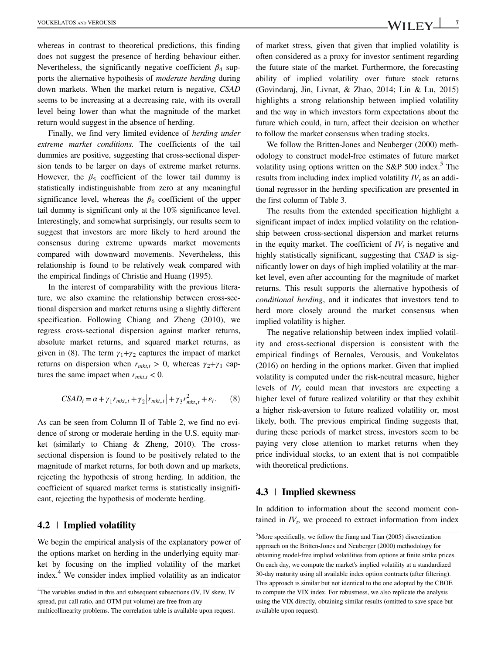VOUKELATOS AND VEROUSIS **7**<sup>7</sup>

whereas in contrast to theoretical predictions, this finding does not suggest the presence of herding behaviour either. Nevertheless, the significantly negative coefficient  $\beta_4$  supports the alternative hypothesis of *moderate herding* during down markets. When the market return is negative, *CSAD* seems to be increasing at a decreasing rate, with its overall level being lower than what the magnitude of the market return would suggest in the absence of herding.

Finally, we find very limited evidence of *herding under extreme market conditions.* The coefficients of the tail dummies are positive, suggesting that cross-sectional dispersion tends to be larger on days of extreme market returns. However, the  $\beta_5$  coefficient of the lower tail dummy is statistically indistinguishable from zero at any meaningful significance level, whereas the  $\beta_6$  coefficient of the upper tail dummy is significant only at the 10% significance level. Interestingly, and somewhat surprisingly, our results seem to suggest that investors are more likely to herd around the consensus during extreme upwards market movements compared with downward movements. Nevertheless, this relationship is found to be relatively weak compared with the empirical findings of Christie and Huang (1995).

In the interest of comparability with the previous literature, we also examine the relationship between cross-sectional dispersion and market returns using a slightly different specification. Following Chiang and Zheng (2010), we regress cross-sectional dispersion against market returns, absolute market returns, and squared market returns, as given in (8). The term  $\gamma_1 + \gamma_2$  captures the impact of market returns on dispersion when  $r_{mkt,t} > 0$ , whereas  $\gamma_2 + \gamma_1$  captures the same impact when  $r_{mkt,t}$  < 0.

$$
CSAD_t = \alpha + \gamma_1 r_{mkt,t} + \gamma_2 \left| r_{mkt,t} \right| + \gamma_3 r_{mkt,t}^2 + \varepsilon_t.
$$
 (8)

As can be seen from Column II of Table 2, we find no evidence of strong or moderate herding in the U.S. equity market (similarly to Chiang & Zheng, 2010). The crosssectional dispersion is found to be positively related to the magnitude of market returns, for both down and up markets, rejecting the hypothesis of strong herding. In addition, the coefficient of squared market terms is statistically insignificant, rejecting the hypothesis of moderate herding.

#### **4.2** | **Implied volatility**

We begin the empirical analysis of the explanatory power of the options market on herding in the underlying equity market by focusing on the implied volatility of the market index.4 We consider index implied volatility as an indicator

of market stress, given that given that implied volatility is often considered as a proxy for investor sentiment regarding the future state of the market. Furthermore, the forecasting ability of implied volatility over future stock returns (Govindaraj, Jin, Livnat, & Zhao, 2014; Lin & Lu, 2015) highlights a strong relationship between implied volatility and the way in which investors form expectations about the future which could, in turn, affect their decision on whether to follow the market consensus when trading stocks.

We follow the Britten-Jones and Neuberger (2000) methodology to construct model-free estimates of future market volatility using options written on the S&P 500 index.<sup>5</sup> The results from including index implied volatility  $IV_t$  as an additional regressor in the herding specification are presented in the first column of Table 3.

The results from the extended specification highlight a significant impact of index implied volatility on the relationship between cross-sectional dispersion and market returns in the equity market. The coefficient of  $IV<sub>t</sub>$  is negative and highly statistically significant, suggesting that *CSAD* is significantly lower on days of high implied volatility at the market level, even after accounting for the magnitude of market returns. This result supports the alternative hypothesis of *conditional herding*, and it indicates that investors tend to herd more closely around the market consensus when implied volatility is higher.

The negative relationship between index implied volatility and cross-sectional dispersion is consistent with the empirical findings of Bernales, Verousis, and Voukelatos (2016) on herding in the options market. Given that implied volatility is computed under the risk-neutral measure, higher levels of  $IV_t$  could mean that investors are expecting a higher level of future realized volatility or that they exhibit a higher risk-aversion to future realized volatility or, most likely, both. The previous empirical finding suggests that, during these periods of market stress, investors seem to be paying very close attention to market returns when they price individual stocks, to an extent that is not compatible with theoretical predictions.

#### **4.3** | **Implied skewness**

In addition to information about the second moment contained in  $IV_t$ , we proceed to extract information from index

<sup>&</sup>lt;sup>4</sup>The variables studied in this and subsequent subsections (IV, IV skew, IV spread, put-call ratio, and OTM put volume) are free from any multicollinearity problems. The correlation table is available upon request.

<sup>5</sup> More specifically, we follow the Jiang and Tian (2005) discretization approach on the Britten-Jones and Neuberger (2000) methodology for obtaining model-free implied volatilities from options at finite strike prices. On each day, we compute the market's implied volatility at a standardized 30-day maturity using all available index option contracts (after filtering). This approach is similar but not identical to the one adopted by the CBOE to compute the VIX index. For robustness, we also replicate the analysis using the VIX directly, obtaining similar results (omitted to save space but available upon request).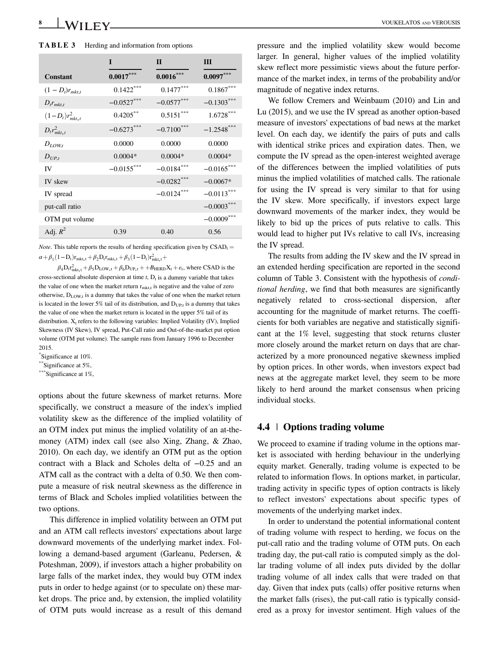|  |  |  |  | TABLE 3 |  |  |  | Herding and information from options |  |  |
|--|--|--|--|---------|--|--|--|--------------------------------------|--|--|
|--|--|--|--|---------|--|--|--|--------------------------------------|--|--|

|                       | T            | $\mathbf{H}$  | III           |
|-----------------------|--------------|---------------|---------------|
| <b>Constant</b>       | $0.0017***$  | $0.0016***$   | $0.0097***$   |
| $(1-D_t)r_{mkt,t}$    | $0.1422***$  | $0.1477***$   | $0.1867***$   |
| $D_t r_{mkt,t}$       | $-0.0527***$ | $-0.0577***$  | $-0.1303***$  |
| $(1-D_t)r_{mkt, t}^2$ | $0.4205***$  | $0.5151***$   | $1.6728***$   |
| $D_t r_{mkt, t}^2$    | $-0.6273***$ | $-0.7100$ *** | $-1.2548$ *** |
| $D_{LOW,t}$           | 0.0000       | 0.0000        | 0.0000        |
| $D_{UP,t}$            | $0.0004*$    | $0.0004*$     | $0.0004*$     |
| IV                    | $-0.0155***$ | $-0.0184***$  | $-0.0165***$  |
| IV skew               |              | $-0.0282***$  | $-0.0067*$    |
| IV spread             |              | $-0.0124***$  | $-0.0113***$  |
| put-call ratio        |              |               | $-0.0003***$  |
| OTM put volume        |              |               | $-0.0009***$  |
| Adj. $R^2$            | 0.39         | 0.40          | 0.56          |
|                       |              |               |               |

*Note*. This table reports the results of herding specification given by  $CSAD_t =$  $\alpha + \beta_1 (1 - D_t) r_{\text{mkt},t} + \beta_2 D_t r_{\text{mkt},t} + \beta_3 (1 - D_t) r_{\text{mkt},t}^2 +$ 

 $\beta_4 D_t r_{mkt,t}^2 + \beta_5 D_{LOW,t} + \beta_6 D_{UP,t} + B_{HERD} X_t + \varepsilon_t$ , where CSAD is the cross-sectional absolute dispersion at time  $t$ ,  $D_t$  is a dummy variable that takes the value of one when the market return  $r_{mkt}$  is negative and the value of zero otherwise,  $D_{LOW,t}$  is a dummy that takes the value of one when the market return is located in the lower 5% tail of its distribution, and  $D_{UP,t}$  is a dummy that takes the value of one when the market return is located in the upper 5% tail of its distribution.  $X_t$  refers to the following variables: Implied Volatility (IV), Implied Skewness (IV Skew), IV spread, Put-Call ratio and Out-of-the-market put option volume (OTM put volume). The sample runs from January 1996 to December 2015.

\* Significance at 10%.

\*\*Significance at 5%,

\*\*\*Significance at 1%,

options about the future skewness of market returns. More specifically, we construct a measure of the index's implied volatility skew as the difference of the implied volatility of an OTM index put minus the implied volatility of an at-themoney (ATM) index call (see also Xing, Zhang, & Zhao, 2010). On each day, we identify an OTM put as the option contract with a Black and Scholes delta of −0.25 and an ATM call as the contract with a delta of 0.50. We then compute a measure of risk neutral skewness as the difference in terms of Black and Scholes implied volatilities between the two options.

This difference in implied volatility between an OTM put and an ATM call reflects investors' expectations about large downward movements of the underlying market index. Following a demand-based argument (Garleanu, Pedersen, & Poteshman, 2009), if investors attach a higher probability on large falls of the market index, they would buy OTM index puts in order to hedge against (or to speculate on) these market drops. The price and, by extension, the implied volatility of OTM puts would increase as a result of this demand

pressure and the implied volatility skew would become larger. In general, higher values of the implied volatility skew reflect more pessimistic views about the future performance of the market index, in terms of the probability and/or magnitude of negative index returns.

We follow Cremers and Weinbaum (2010) and Lin and Lu (2015), and we use the IV spread as another option-based measure of investors' expectations of bad news at the market level. On each day, we identify the pairs of puts and calls with identical strike prices and expiration dates. Then, we compute the IV spread as the open-interest weighted average of the differences between the implied volatilities of puts minus the implied volatilities of matched calls. The rationale for using the IV spread is very similar to that for using the IV skew. More specifically, if investors expect large downward movements of the marker index, they would be likely to bid up the prices of puts relative to calls. This would lead to higher put IVs relative to call IVs, increasing the IV spread.

The results from adding the IV skew and the IV spread in an extended herding specification are reported in the second column of Table 3. Consistent with the hypothesis of *conditional herding*, we find that both measures are significantly negatively related to cross-sectional dispersion, after accounting for the magnitude of market returns. The coefficients for both variables are negative and statistically significant at the 1% level, suggesting that stock returns cluster more closely around the market return on days that are characterized by a more pronounced negative skewness implied by option prices. In other words, when investors expect bad news at the aggregate market level, they seem to be more likely to herd around the market consensus when pricing individual stocks.

#### **4.4** | **Options trading volume**

We proceed to examine if trading volume in the options market is associated with herding behaviour in the underlying equity market. Generally, trading volume is expected to be related to information flows. In options market, in particular, trading activity in specific types of option contracts is likely to reflect investors' expectations about specific types of movements of the underlying market index.

In order to understand the potential informational content of trading volume with respect to herding, we focus on the put-call ratio and the trading volume of OTM puts. On each trading day, the put-call ratio is computed simply as the dollar trading volume of all index puts divided by the dollar trading volume of all index calls that were traded on that day. Given that index puts (calls) offer positive returns when the market falls (rises), the put-call ratio is typically considered as a proxy for investor sentiment. High values of the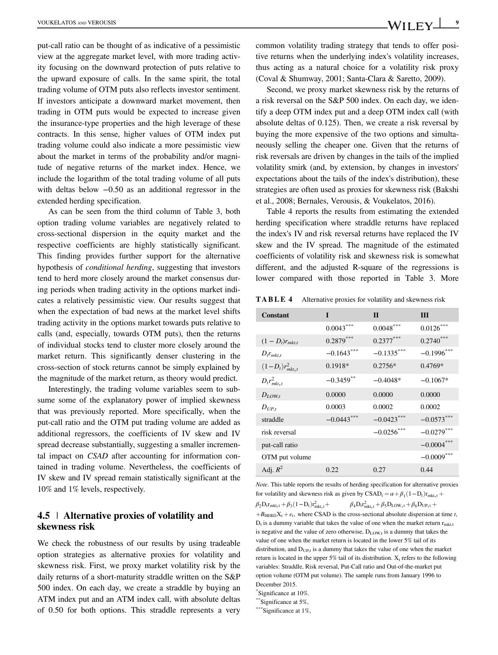VOUKELATOS AND VEROUSIS **AND VEROUSIS BULGARY CONTRACT ON A SUBSEX PROPERTY CONTRACT ON A SUBSEX PROPERTY CONTRACT ON A SUBSEXUAL CONTRACT OF PROPERTY CONTRACT OF PROPERTY CONTRACT ON A SUBSEXUAL CONTRACT OF PROPERTY CON** 

put-call ratio can be thought of as indicative of a pessimistic view at the aggregate market level, with more trading activity focusing on the downward protection of puts relative to the upward exposure of calls. In the same spirit, the total trading volume of OTM puts also reflects investor sentiment. If investors anticipate a downward market movement, then trading in OTM puts would be expected to increase given the insurance-type properties and the high leverage of these contracts. In this sense, higher values of OTM index put trading volume could also indicate a more pessimistic view about the market in terms of the probability and/or magnitude of negative returns of the market index. Hence, we include the logarithm of the total trading volume of all puts with deltas below −0.50 as an additional regressor in the extended herding specification.

As can be seen from the third column of Table 3, both option trading volume variables are negatively related to cross-sectional dispersion in the equity market and the respective coefficients are highly statistically significant. This finding provides further support for the alternative hypothesis of *conditional herding*, suggesting that investors tend to herd more closely around the market consensus during periods when trading activity in the options market indicates a relatively pessimistic view. Our results suggest that when the expectation of bad news at the market level shifts trading activity in the options market towards puts relative to calls (and, especially, towards OTM puts), then the returns of individual stocks tend to cluster more closely around the market return. This significantly denser clustering in the cross-section of stock returns cannot be simply explained by the magnitude of the market return, as theory would predict.

Interestingly, the trading volume variables seem to subsume some of the explanatory power of implied skewness that was previously reported. More specifically, when the put-call ratio and the OTM put trading volume are added as additional regressors, the coefficients of IV skew and IV spread decrease substantially, suggesting a smaller incremental impact on *CSAD* after accounting for information contained in trading volume. Nevertheless, the coefficients of IV skew and IV spread remain statistically significant at the 10% and 1% levels, respectively.

### **4.5** | **Alternative proxies of volatility and skewness risk**

We check the robustness of our results by using tradeable option strategies as alternative proxies for volatility and skewness risk. First, we proxy market volatility risk by the daily returns of a short-maturity straddle written on the S&P 500 index. On each day, we create a straddle by buying an ATM index put and an ATM index call, with absolute deltas of 0.50 for both options. This straddle represents a very

common volatility trading strategy that tends to offer positive returns when the underlying index's volatility increases, thus acting as a natural choice for a volatility risk proxy (Coval & Shumway, 2001; Santa-Clara & Saretto, 2009).

Second, we proxy market skewness risk by the returns of a risk reversal on the S&P 500 index. On each day, we identify a deep OTM index put and a deep OTM index call (with absolute deltas of 0.125). Then, we create a risk reversal by buying the more expensive of the two options and simultaneously selling the cheaper one. Given that the returns of risk reversals are driven by changes in the tails of the implied volatility smirk (and, by extension, by changes in investors' expectations about the tails of the index's distribution), these strategies are often used as proxies for skewness risk (Bakshi et al., 2008; Bernales, Verousis, & Voukelatos, 2016).

Table 4 reports the results from estimating the extended herding specification where straddle returns have replaced the index's IV and risk reversal returns have replaced the IV skew and the IV spread. The magnitude of the estimated coefficients of volatility risk and skewness risk is somewhat different, and the adjusted R-square of the regressions is lower compared with those reported in Table 3. More

**TABLE 4** Alternative proxies for volatility and skewness risk

| Constant              | T            | $\mathbf{H}$ | III          |
|-----------------------|--------------|--------------|--------------|
|                       | $0.0043***$  | $0.0048***$  | $0.0126***$  |
| $(1-D_t)r_{mkt}$      | $0.2879***$  | $0.2377***$  | $0.2740***$  |
| $D_t r_{mkt,t}$       | $-0.1643***$ | $-0.1335***$ | $-0.1996***$ |
| $(1-D_t)r_{mkt, t}^2$ | $0.1918*$    | $0.2756*$    | $0.4769*$    |
| $D_t r_{mkt, t}^2$    | $-0.3459**$  | $-0.4048*$   | $-0.1067*$   |
| $D_{LOW,t}$           | 0.0000       | 0.0000       | 0.0000       |
| $D_{UP,t}$            | 0.0003       | 0.0002       | 0.0002       |
| straddle              | $-0.0443***$ | $-0.0423***$ | $-0.0573***$ |
| risk reversal         |              | $-0.0256***$ | $-0.0279***$ |
| put-call ratio        |              |              | $-0.0004***$ |
| OTM put volume        |              |              | $-0.0009***$ |
| Adj. $R^2$            | 0.22.        | 0.27         | 0.44         |

*Note*. This table reports the results of herding specification for alternative proxies for volatility and skewness risk as given by  $CSAD_t = \alpha + \beta_1(1 - D_t)r_{mkt, t}$  +  $\beta_2 D_t r_{mkt,t} + \beta_3 (1 - D_t) r_{mkt,t}^2$ +  $β_4D_t r_{mkt,t}^2 + β_5D_{LOW,t} + β_6D_{UP,t} +$  $B_{HERD}X_t + \varepsilon_t$ , where CSAD is the cross-sectional absolute dispersion at time *t*,  $D_t$  is a dummy variable that takes the value of one when the market return  $r_{mkt,t}$ is negative and the value of zero otherwise,  $D_{LOW,t}$  is a dummy that takes the value of one when the market return is located in the lower 5% tail of its distribution, and  $D_{UP,t}$  is a dummy that takes the value of one when the market return is located in the upper 5% tail of its distribution.  $X_t$  refers to the following variables: Straddle, Risk reversal, Put-Call ratio and Out-of-the-market put option volume (OTM put volume). The sample runs from January 1996 to December 2015.

\* Significance at 10%.

\*\*Significance at 5%,

<sup>\*\*\*</sup>Significance at 1%,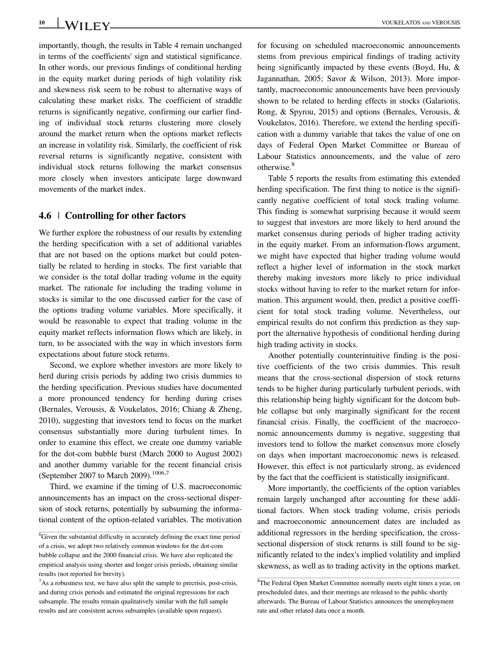importantly, though, the results in Table 4 remain unchanged in terms of the coefficients' sign and statistical significance. In other words, our previous findings of conditional herding in the equity market during periods of high volatility risk and skewness risk seem to be robust to alternative ways of calculating these market risks. The coefficient of straddle returns is significantly negative, confirming our earlier finding of individual stock returns clustering more closely around the market return when the options market reflects an increase in volatility risk. Similarly, the coefficient of risk reversal returns is significantly negative, consistent with individual stock returns following the market consensus more closely when investors anticipate large downward movements of the market index.

#### **4.6** | **Controlling for other factors**

We further explore the robustness of our results by extending the herding specification with a set of additional variables that are not based on the options market but could potentially be related to herding in stocks. The first variable that we consider is the total dollar trading volume in the equity market. The rationale for including the trading volume in stocks is similar to the one discussed earlier for the case of the options trading volume variables. More specifically, it would be reasonable to expect that trading volume in the equity market reflects information flows which are likely, in turn, to be associated with the way in which investors form expectations about future stock returns.

Second, we explore whether investors are more likely to herd during crisis periods by adding two crisis dummies to the herding specification. Previous studies have documented a more pronounced tendency for herding during crises (Bernales, Verousis, & Voukelatos, 2016; Chiang & Zheng, 2010), suggesting that investors tend to focus on the market consensus substantially more during turbulent times. In order to examine this effect, we create one dummy variable for the dot-com bubble burst (March 2000 to August 2002) and another dummy variable for the recent financial crisis (September 2007 to March 2009).<sup>1006,7</sup>

Third, we examine if the timing of U.S. macroeconomic announcements has an impact on the cross-sectional dispersion of stock returns, potentially by subsuming the informational content of the option-related variables. The motivation for focusing on scheduled macroeconomic announcements stems from previous empirical findings of trading activity being significantly impacted by these events (Boyd, Hu, & Jagannathan, 2005; Savor & Wilson, 2013). More importantly, macroeconomic announcements have been previously shown to be related to herding effects in stocks (Galariotis, Rong, & Spyrou, 2015) and options (Bernales, Verousis, & Voukelatos, 2016). Therefore, we extend the herding specification with a dummy variable that takes the value of one on days of Federal Open Market Committee or Bureau of Labour Statistics announcements, and the value of zero otherwise.<sup>8</sup>

Table 5 reports the results from estimating this extended herding specification. The first thing to notice is the significantly negative coefficient of total stock trading volume. This finding is somewhat surprising because it would seem to suggest that investors are more likely to herd around the market consensus during periods of higher trading activity in the equity market. From an information-flows argument, we might have expected that higher trading volume would reflect a higher level of information in the stock market thereby making investors more likely to price individual stocks without having to refer to the market return for information. This argument would, then, predict a positive coefficient for total stock trading volume. Nevertheless, our empirical results do not confirm this prediction as they support the alternative hypothesis of conditional herding during high trading activity in stocks.

Another potentially counterintuitive finding is the positive coefficients of the two crisis dummies. This result means that the cross-sectional dispersion of stock returns tends to be higher during particularly turbulent periods, with this relationship being highly significant for the dotcom bubble collapse but only marginally significant for the recent financial crisis. Finally, the coefficient of the macroeconomic announcements dummy is negative, suggesting that investors tend to follow the market consensus more closely on days when important macroeconomic news is released. However, this effect is not particularly strong, as evidenced by the fact that the coefficient is statistically insignificant.

More importantly, the coefficients of the option variables remain largely unchanged after accounting for these additional factors. When stock trading volume, crisis periods and macroeconomic announcement dates are included as additional regressors in the herding specification, the crosssectional dispersion of stock returns is still found to be significantly related to the index's implied volatility and implied skewness, as well as to trading activity in the options market.

<sup>&</sup>lt;sup>6</sup>Given the substantial difficulty in accurately defining the exact time period of a crisis, we adopt two relatively common windows for the dot-com bubble collapse and the 2000 financial crisis. We have also replicated the empirical analysis using shorter and longer crisis periods, obtaining similar results (not reported for brevity).

 $7As$  a robustness test, we have also split the sample to precrisis, post-crisis, and during crisis periods and estimated the original regressions for each subsample. The results remain qualitatively similar with the full sample results and are consistent across subsamples (available upon request).

<sup>&</sup>lt;sup>8</sup>The Federal Open Market Committee normally meets eight times a year, on prescheduled dates, and their meetings are released to the public shortly afterwards. The Bureau of Labour Statistics announces the unemployment rate and other related data once a month.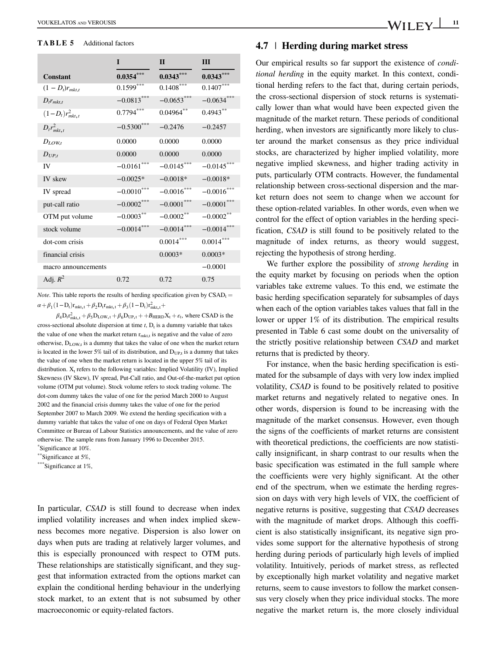#### **TABLE 5** Additional factors

|                       | I             | $\mathbf{H}$ | III          |
|-----------------------|---------------|--------------|--------------|
| Constant              | $0.0354***$   | $0.0343***$  | $0.0343***$  |
| $(1-D_t)r_{mkt,t}$    | $0.1599***$   | $0.1408***$  | $0.1407***$  |
| $D_t r_{mkt,t}$       | $-0.0813***$  | $-0.0653***$ | $-0.0634***$ |
| $(1-D_t)r_{mkt, t}^2$ | $0.7794***$   | $0.04964***$ | $0.4943***$  |
| $D_t r_{mkt, t}^2$    | $-0.5300$ *** | $-0.2476$    | $-0.2457$    |
| $D_{LOWt}$            | 0.0000        | 0.0000       | 0.0000       |
| $D_{UP,t}$            | 0.0000        | 0.0000       | 0.0000       |
| IV                    | $-0.0161$ *** | $-0.0145***$ | $-0.0145***$ |
| <b>IV</b> skew        | $-0.0025*$    | $-0.0018*$   | $-0.0018*$   |
| IV spread             | $-0.0010***$  | $-0.0016***$ | $-0.0016***$ |
| put-call ratio        | $-0.0002***$  | $-0.0001***$ | $-0.0001***$ |
| OTM put volume        | $-0.0003***$  | $-0.0002***$ | $-0.0002***$ |
| stock volume          | $-0.0014***$  | $-0.0014***$ | $-0.0014***$ |
| dot-com crisis        |               | $0.0014***$  | $0.0014***$  |
| financial crisis      |               | $0.0003*$    | $0.0003*$    |
| macro announcements   |               |              | $-0.0001$    |
| Adj. $R^2$            | 0.72          | 0.72         | 0.75         |

*Note*. This table reports the results of herding specification given by  $CSAD_t =$  $\alpha + \beta_1 (1 - D_t) r_{\text{mkt},t} + \beta_2 D_t r_{\text{mkt},t} + \beta_3 (1 - D_t) r_{\text{mkt},t}^2 +$ 

 $\beta_4 D_t r_{mkt,t}^2 + \beta_5 D_{LOW,t} + \beta_6 D_{UP,t} + B_{HERD} X_t + \varepsilon_t$ , where CSAD is the cross-sectional absolute dispersion at time  $t$ ,  $D_t$  is a dummy variable that takes the value of one when the market return  $r_{mkt,t}$  is negative and the value of zero otherwise,  $D_{LOW,t}$  is a dummy that takes the value of one when the market return is located in the lower 5% tail of its distribution, and  $D_{\text{UP},t}$  is a dummy that takes the value of one when the market return is located in the upper 5% tail of its distribution.  $X_t$  refers to the following variables: Implied Volatility (IV), Implied Skewness (IV Skew), IV spread, Put-Call ratio, and Out-of-the-market put option volume (OTM put volume). Stock volume refers to stock trading volume. The dot-com dummy takes the value of one for the period March 2000 to August 2002 and the financial crisis dummy takes the value of one for the period September 2007 to March 2009. We extend the herding specification with a dummy variable that takes the value of one on days of Federal Open Market Committee or Bureau of Labour Statistics announcements, and the value of zero otherwise. The sample runs from January 1996 to December 2015.

\* Significance at 10%.

\*\*Significance at 5%,

\*\*\*Significance at 1%,

In particular, *CSAD* is still found to decrease when index implied volatility increases and when index implied skewness becomes more negative. Dispersion is also lower on days when puts are trading at relatively larger volumes, and this is especially pronounced with respect to OTM puts. These relationships are statistically significant, and they suggest that information extracted from the options market can explain the conditional herding behaviour in the underlying stock market, to an extent that is not subsumed by other macroeconomic or equity-related factors.

#### **4.7** | **Herding during market stress**

Our empirical results so far support the existence of *conditional herding* in the equity market. In this context, conditional herding refers to the fact that, during certain periods, the cross-sectional dispersion of stock returns is systematically lower than what would have been expected given the magnitude of the market return. These periods of conditional herding, when investors are significantly more likely to cluster around the market consensus as they price individual stocks, are characterized by higher implied volatility, more negative implied skewness, and higher trading activity in puts, particularly OTM contracts. However, the fundamental relationship between cross-sectional dispersion and the market return does not seem to change when we account for these option-related variables. In other words, even when we control for the effect of option variables in the herding specification, *CSAD* is still found to be positively related to the magnitude of index returns, as theory would suggest, rejecting the hypothesis of strong herding.

We further explore the possibility of *strong herding* in the equity market by focusing on periods when the option variables take extreme values. To this end, we estimate the basic herding specification separately for subsamples of days when each of the option variables takes values that fall in the lower or upper 1% of its distribution. The empirical results presented in Table 6 cast some doubt on the universality of the strictly positive relationship between *CSAD* and market returns that is predicted by theory.

For instance, when the basic herding specification is estimated for the subsample of days with very low index implied volatility, *CSAD* is found to be positively related to positive market returns and negatively related to negative ones. In other words, dispersion is found to be increasing with the magnitude of the market consensus. However, even though the signs of the coefficients of market returns are consistent with theoretical predictions, the coefficients are now statistically insignificant, in sharp contrast to our results when the basic specification was estimated in the full sample where the coefficients were very highly significant. At the other end of the spectrum, when we estimate the herding regression on days with very high levels of VIX, the coefficient of negative returns is positive, suggesting that *CSAD* decreases with the magnitude of market drops. Although this coefficient is also statistically insignificant, its negative sign provides some support for the alternative hypothesis of strong herding during periods of particularly high levels of implied volatility. Intuitively, periods of market stress, as reflected by exceptionally high market volatility and negative market returns, seem to cause investors to follow the market consensus very closely when they price individual stocks. The more negative the market return is, the more closely individual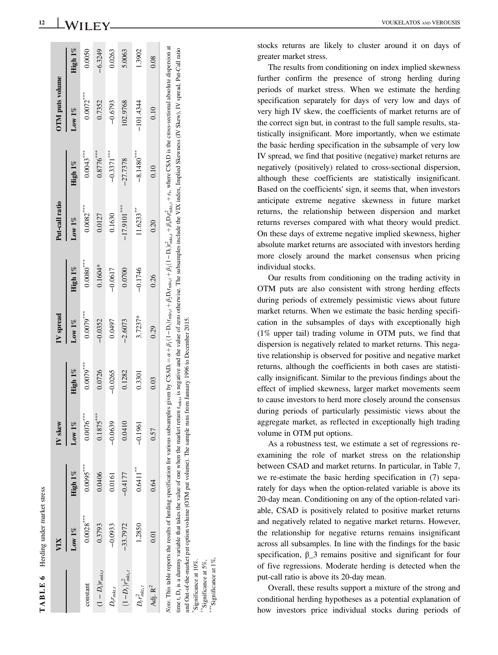| j<br>í<br>۱<br>ļ |
|------------------|
| i<br>l<br>F<br>ï |
| ١                |
| ۰                |
| ļ                |
|                  |
|                  |
|                  |

 $\mathbf{s}$ 

|                          | XIV           |             | IV skew         |             | IV spread   |                         | Put-call ratio          |               | <b>ITM</b> puts volume |           |
|--------------------------|---------------|-------------|-----------------|-------------|-------------|-------------------------|-------------------------|---------------|------------------------|-----------|
|                          | $\frac{1}{6}$ | High $1\%$  | $100 \text{ V}$ | High 1%     | Low $1\%$   | -High $1\%$             | $10$ W $1\%$            | High $1\%$    | $100 \text{ V}$        | High 1%   |
| constant                 | $0.0028***$   | $0.0095***$ | $0.0076***$     | $0.0079***$ | $0.0079***$ | $0.0080^{\ast\ast\ast}$ | $0.0082***$             | $0.0043***$   | $0.0072***$            | 0.0050    |
| $(1-D_i)r_{mkt,t}$       | 0.3793        | 0.0406      | $0.1875***$     | 0.0726      | $-0.0352$   | $0.1604*$               | 0.0127                  | $0.8776$ ***  | 0.7352                 | $-6.3249$ |
| $D_{\ell' mkt,t}$        | $-0.0933$     | 0.0161      | $-0.0639$       | $-0.0265$   | 0.0497      | $-0.0617$               |                         | $-0.3371$ *** | $-0.6793$              | 0.0263    |
| $(1 - D_t) r_{mtt, t}^2$ | $-33.7972$    | $-0.4177$   | 0.0410          | 0.1282      | $-2.6073$   | 0.0700                  | $0.1630$<br>-17.9101*** | $-27.7378$    | 02.9768                | 5.0063    |
| $D_t r_{mtx,\, t}^2$     | 1.2850        | $0.6411***$ | $-0.1961$       | 0.3301      | $3.7237*$   | $-0.1746$               | $11.6233***$            | $-8.1480***$  | $-101.4344$            | 1.3902    |
| Adj. $R^2$               | 0.01          | 0.64        | 0.57            | 0.03        | 0.29        | 0.26                    | 0.20                    | 0.10          | 0.10                   | 0.08      |
|                          |               |             |                 |             |             |                         |                         |               |                        |           |

Note. This table reports the results of herding specification for various subsamples given by CSAD, =  $\alpha + \beta_1 (1 - D_1) r_{\text{mix},1} + \beta_2 D_1 r_{\text{mix},1} + \beta_3 (1 - D_1) r_{\text{mix},1}^2 + \beta_4 D_1 r_{\text{mix},1}^2 + \beta_5 P_1 r_{\text{mix},1}^2 + \beta_6 P_1 r_{\text{mix},1}$ Note: This table reports the results of herding specification for various subsamples given by CSAD, =  $\alpha + \beta_1 (1 - D_1) r_{\text{mkt}, t} + \beta_2 D_t r_{\text{mkt}, t} + \beta_3 (1 - D_t) r_{\text{mkt}, t}^2 + \beta_4 D_t r_{\text{mkt}, t} + \beta_4 D_t r_{\text{mkt}, t} + \epsilon_t$ , where CSAD is time t, D<sub>1</sub> is a dummy variable that takes the value of one when the market return r<sub>mkt,</sub> is negative and the value of zero otherwise. The subsamples include the VIX index, Implied Skewness (IV Skew), IV spread, Put-Call time t, D, is a dummy variable that takes the value of one when the market return r<sub>inkst</sub> is negative and the value of zero otherwise. The subsamples include the VIX index, Implied Skewness (IV Skew), IV spread, Put-Call and Out-of-the-market put option volume (OTM put volume). The sample runs from January 1996 to December 2015. and Out-of-the-market put option volume (OTM put volume). The sample runs from January 1996 to December 2015.

Significance at 10%. \*Significance at 10%. \*\*Significance at 5%, \*\*Significance at 5%,

\*\*\*Significance at 1%, Significance at 1% stocks returns are likely to cluster around it on days of greater market stress.

The results from conditioning on index implied skewness further confirm the presence of strong herding during periods of market stress. When we estimate the herding specification separately for days of very low and days of very high IV skew, the coefficients of market returns are of the correct sign but, in contrast to the full sample results, statistically insignificant. More importantly, when we estimate the basic herding specification in the subsample of very low IV spread, we find that positive (negative) market returns are negatively (positively) related to cross-sectional dispersion, although these coefficients are statistically insignificant. Based on the coefficients' sign, it seems that, when investors anticipate extreme negative skewness in future market returns, the relationship between dispersion and market returns reverses compared with what theory would predict. On these days of extreme negative implied skewness, higher absolute market returns are associated with investors herding more closely around the market consensus when pricing individual stocks.

Our results from conditioning on the trading activity in OTM puts are also consistent with strong herding effects during periods of extremely pessimistic views about future market returns. When we estimate the basic herding specification in the subsamples of days with exceptionally high (1% upper tail) trading volume in OTM puts, we find that dispersion is negatively related to market returns. This negative relationship is observed for positive and negative market returns, although the coefficients in both cases are statistically insignificant. Similar to the previous findings about the effect of implied skewness, larger market movements seem to cause investors to herd more closely around the consensus during periods of particularly pessimistic views about the aggregate market, as reflected in exceptionally high trading volume in OTM put options.

As a robustness test, we estimate a set of regressions reexamining the role of market stress on the relationship between CSAD and market returns. In particular, in Table 7, we re-estimate the basic herding specification in (7) separately for days when the option-related variable is above its 20-day mean. Conditioning on any of the option-related variable, CSAD is positively related to positive market returns and negatively related to negative market returns. However, the relationship for negative returns remains insignificant across all subsamples. In line with the findings for the basic specification, β\_3 remains positive and significant for four of five regressions. Moderate herding is detected when the put-call ratio is above its 20-day mean.

Overall, these results support a mixture of the strong and conditional herding hypotheses as a potential explanation of how investors price individual stocks during periods of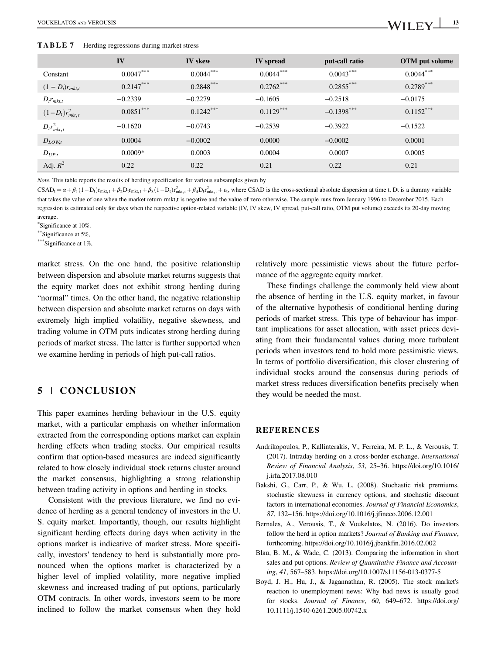#### **TABLE 7** Herding regressions during market stress

|                       | IV          | <b>IV</b> skew | <b>IV</b> spread | put-call ratio | OTM put volume |
|-----------------------|-------------|----------------|------------------|----------------|----------------|
| Constant              | $0.0047***$ | $0.0044***$    | $0.0044***$      | $0.0043***$    | $0.0044***$    |
| $(1-D_t)r_{mkt,t}$    | $0.2147***$ | $0.2848***$    | $0.2762***$      | $0.2855***$    | $0.2789***$    |
| $D_t r_{mkt,t}$       | $-0.2339$   | $-0.2279$      | $-0.1605$        | $-0.2518$      | $-0.0175$      |
| $(1-D_t)r_{mkt, t}^2$ | $0.0851***$ | $0.1242***$    | $0.1129***$      | $-0.1398***$   | $0.1152***$    |
| $D_t r_{mkt, t}^2$    | $-0.1620$   | $-0.0743$      | $-0.2539$        | $-0.3922$      | $-0.1522$      |
| $D_{LOW,t}$           | 0.0004      | $-0.0002$      | 0.0000           | $-0.0002$      | 0.0001         |
| $D_{UP,t}$            | $0.0009*$   | 0.0003         | 0.0004           | 0.0007         | 0.0005         |
| Adj. $R^2$            | 0.22        | 0.22           | 0.21             | 0.22           | 0.21           |

*Note*. This table reports the results of herding specification for various subsamples given by

 $CSAD_t = \alpha + \beta_1(1 - D_t)r_{mkt,t} + \beta_2D_t r_{mkt,t} + \beta_3(1 - D_t)r_{mkt,t}^2 + \beta_4D_t r_{mkt,t}^2 + \varepsilon_t$ , where CSAD is the cross-sectional absolute dispersion at time t, Dt is a dummy variable that takes the value of one when the market return rmkt,t is negative and the value of zero otherwise. The sample runs from January 1996 to December 2015. Each regression is estimated only for days when the respective option-related variable (IV, IV skew, IV spread, put-call ratio, OTM put volume) exceeds its 20-day moving average.

\* Significance at 10%.

\*\*Significance at 5%,

\*\*\*Significance at 1%,

market stress. On the one hand, the positive relationship between dispersion and absolute market returns suggests that the equity market does not exhibit strong herding during "normal" times. On the other hand, the negative relationship between dispersion and absolute market returns on days with extremely high implied volatility, negative skewness, and trading volume in OTM puts indicates strong herding during periods of market stress. The latter is further supported when we examine herding in periods of high put-call ratios.

#### **5** | **CONCLUSION**

This paper examines herding behaviour in the U.S. equity market, with a particular emphasis on whether information extracted from the corresponding options market can explain herding effects when trading stocks. Our empirical results confirm that option-based measures are indeed significantly related to how closely individual stock returns cluster around the market consensus, highlighting a strong relationship between trading activity in options and herding in stocks.

Consistent with the previous literature, we find no evidence of herding as a general tendency of investors in the U. S. equity market. Importantly, though, our results highlight significant herding effects during days when activity in the options market is indicative of market stress. More specifically, investors' tendency to herd is substantially more pronounced when the options market is characterized by a higher level of implied volatility, more negative implied skewness and increased trading of put options, particularly OTM contracts. In other words, investors seem to be more inclined to follow the market consensus when they hold relatively more pessimistic views about the future performance of the aggregate equity market.

These findings challenge the commonly held view about the absence of herding in the U.S. equity market, in favour of the alternative hypothesis of conditional herding during periods of market stress. This type of behaviour has important implications for asset allocation, with asset prices deviating from their fundamental values during more turbulent periods when investors tend to hold more pessimistic views. In terms of portfolio diversification, this closer clustering of individual stocks around the consensus during periods of market stress reduces diversification benefits precisely when they would be needed the most.

#### **REFERENCES**

- Andrikopoulos, P., Kallinterakis, V., Ferreira, M. P. L., & Verousis, T. (2017). Intraday herding on a cross-border exchange. *International Review of Financial Analysis*, *53*, 25–36. [https://doi.org/10.1016/](https://doi.org/10.1016/j.irfa.2017.08.010) [j.irfa.2017.08.010](https://doi.org/10.1016/j.irfa.2017.08.010)
- Bakshi, G., Carr, P., & Wu, L. (2008). Stochastic risk premiums, stochastic skewness in currency options, and stochastic discount factors in international economies. *Journal of Financial Economics*, *87*, 132–156.<https://doi.org/10.1016/j.jfineco.2006.12.001>
- Bernales, A., Verousis, T., & Voukelatos, N. (2016). Do investors follow the herd in option markets? *Journal of Banking and Finance*, forthcoming.<https://doi.org/10.1016/j.jbankfin.2016.02.002>
- Blau, B. M., & Wade, C. (2013). Comparing the information in short sales and put options. *Review of Quantitative Finance and Accounting*, *41*, 567–583.<https://doi.org/10.1007/s11156-013-0377-5>
- Boyd, J. H., Hu, J., & Jagannathan, R. (2005). The stock market's reaction to unemployment news: Why bad news is usually good for stocks. *Journal of Finance*, *60*, 649–672. [https://doi.org/](https://doi.org/10.1111/j.1540-6261.2005.00742.x) [10.1111/j.1540-6261.2005.00742.x](https://doi.org/10.1111/j.1540-6261.2005.00742.x)